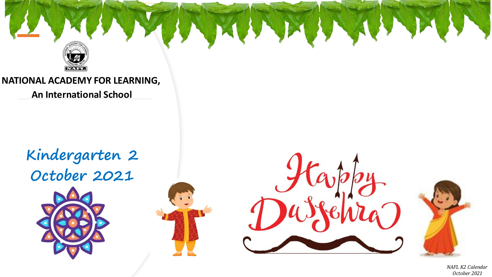

**NATIONAL ACADEMY FOR LEARNING,**

**An International School**

**Kindergarten 2 October 2021**









*NAFL K2 Calendar October 2021*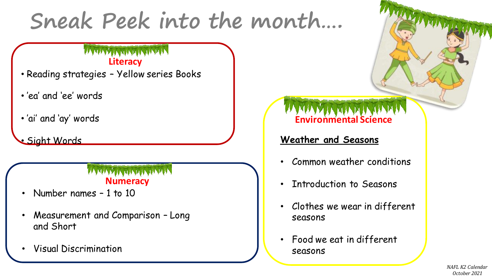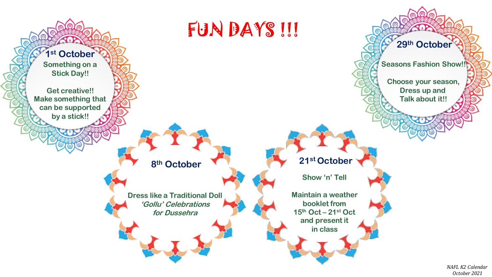

*October 2021*